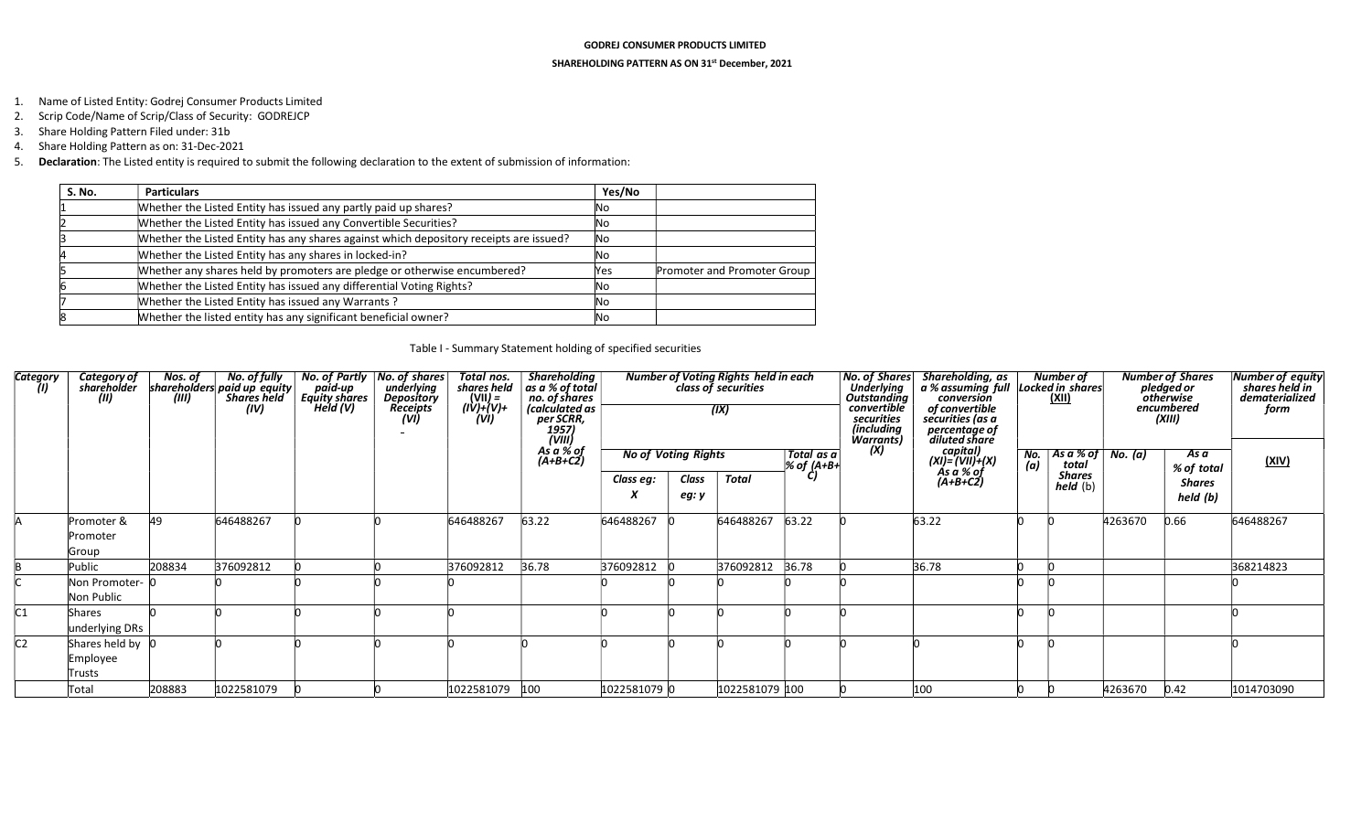## GODREJ CONSUMER PRODUCTS LIMITED

## SHAREHOLDING PATTERN AS ON 31st December, 2021

- 1. Name of Listed Entity: Godrej Consumer Products Limited
- 2. Scrip Code/Name of Scrip/Class of Security: GODREJCP
- 3. Share Holding Pattern Filed under: 31b
- 4. Share Holding Pattern as on: 31-Dec-2021
- 5. Declaration: The Listed entity is required to submit the following declaration to the extent of submission of information:

| S. No. | <b>Particulars</b>                                                                     | Yes/No     |                             |
|--------|----------------------------------------------------------------------------------------|------------|-----------------------------|
|        | Whether the Listed Entity has issued any partly paid up shares?                        | lΝo        |                             |
|        | Whether the Listed Entity has issued any Convertible Securities?                       | Νo         |                             |
|        | Whether the Listed Entity has any shares against which depository receipts are issued? | No.        |                             |
|        | Whether the Listed Entity has any shares in locked-in?                                 | lΝo        |                             |
|        | Whether any shares held by promoters are pledge or otherwise encumbered?               | <b>Yes</b> | Promoter and Promoter Group |
|        | Whether the Listed Entity has issued any differential Voting Rights?                   | lΝo        |                             |
|        | Whether the Listed Entity has issued any Warrants?                                     | lΝo        |                             |
|        | Whether the listed entity has any significant beneficial owner?                        | Νo         |                             |

## Table I - Summary Statement holding of specified securities

| Category<br>(II) | Category of<br>sharëholder<br>(II)     | (III)  | Nos. of No. of fully<br>shareholders paid up equity<br><b>Shares held</b><br>(IV) | paid-up<br>Equity shares<br>Held (V) | No. of Partly   No. of shares  <br>underlying<br>Depository<br><b>Receipts</b><br>(VI) | Total nos.<br>shares held<br>(VII) =<br>(IV)+(V)+<br>(VI) | <b>Shareholding</b><br>$\vert$ as a % of total<br>no. of shares<br>(calculated as<br>per SCRR,<br>per SCRR,<br>1957)<br>(VIII)<br>As a % of<br>(A+B+C2) |                                         |       | Number of Voting Rights held in each<br>class of securities<br>(IX) |                          | <b>No. of Shares</b><br><b>Underlying</b><br>Outstanding<br>convertible<br>securities<br>(including<br>Warrants)<br>(X) | Shareholding, as Number of<br>a % assuming full Locked in shares<br>conversion<br>of convertible<br>securities (as a<br>percentage of<br>diluted share |                   | (XII)                                                           |         | <b>Number of Shares</b><br>pledged or<br>otherwise<br>encumbered<br>(XIII) | <b>Number of equity</b><br>shares held in<br>dematerialized<br>form |
|------------------|----------------------------------------|--------|-----------------------------------------------------------------------------------|--------------------------------------|----------------------------------------------------------------------------------------|-----------------------------------------------------------|---------------------------------------------------------------------------------------------------------------------------------------------------------|-----------------------------------------|-------|---------------------------------------------------------------------|--------------------------|-------------------------------------------------------------------------------------------------------------------------|--------------------------------------------------------------------------------------------------------------------------------------------------------|-------------------|-----------------------------------------------------------------|---------|----------------------------------------------------------------------------|---------------------------------------------------------------------|
|                  |                                        |        |                                                                                   |                                      |                                                                                        |                                                           |                                                                                                                                                         | <b>No of Voting Rights</b><br>Class eg: | Class | Total                                                               | Total as a<br>% of (A+B+ |                                                                                                                         | capital)<br>(XI)= (VII)+(X)<br>As a % of<br>(A+B+C2)                                                                                                   | $\frac{No.}{(a)}$ | $ $ As a % of $ $ No. (a)<br>total<br><b>Shares</b><br>held (b) |         | As a<br>% of total<br><b>Shares</b>                                        | <u>(XIV)</u>                                                        |
|                  |                                        |        |                                                                                   |                                      |                                                                                        |                                                           |                                                                                                                                                         | X                                       | eg: y |                                                                     |                          |                                                                                                                         |                                                                                                                                                        |                   |                                                                 |         | held (b)                                                                   |                                                                     |
|                  | Promoter &<br>Promoter<br>Group        | 49     | 646488267                                                                         |                                      |                                                                                        | 646488267                                                 | 63.22                                                                                                                                                   | 646488267                               |       | 646488267                                                           | 63.22                    |                                                                                                                         | 63.22                                                                                                                                                  |                   |                                                                 | 4263670 | 0.66                                                                       | 646488267                                                           |
|                  | Public                                 | 208834 | 376092812                                                                         |                                      |                                                                                        | 376092812                                                 | 36.78                                                                                                                                                   | 376092812                               |       | 376092812                                                           | 36.78                    |                                                                                                                         | 36.78                                                                                                                                                  |                   |                                                                 |         |                                                                            | 368214823                                                           |
|                  | Non Promoter-  O<br>Non Public         |        |                                                                                   |                                      |                                                                                        |                                                           |                                                                                                                                                         |                                         |       |                                                                     |                          |                                                                                                                         |                                                                                                                                                        |                   |                                                                 |         |                                                                            |                                                                     |
| C1               | Shares<br>underlying DRs               |        |                                                                                   |                                      |                                                                                        |                                                           |                                                                                                                                                         |                                         |       |                                                                     |                          |                                                                                                                         |                                                                                                                                                        |                   |                                                                 |         |                                                                            |                                                                     |
| IC <sub>2</sub>  | Shares held by 0<br>Employee<br>Trusts |        |                                                                                   |                                      |                                                                                        |                                                           |                                                                                                                                                         |                                         |       |                                                                     |                          |                                                                                                                         |                                                                                                                                                        |                   |                                                                 |         |                                                                            |                                                                     |
|                  | Total                                  | 208883 | 1022581079                                                                        |                                      |                                                                                        | 1022581079                                                | 100                                                                                                                                                     | 1022581079 0                            |       | 1022581079 100                                                      |                          |                                                                                                                         | 100                                                                                                                                                    |                   |                                                                 | 4263670 | 0.42                                                                       | 1014703090                                                          |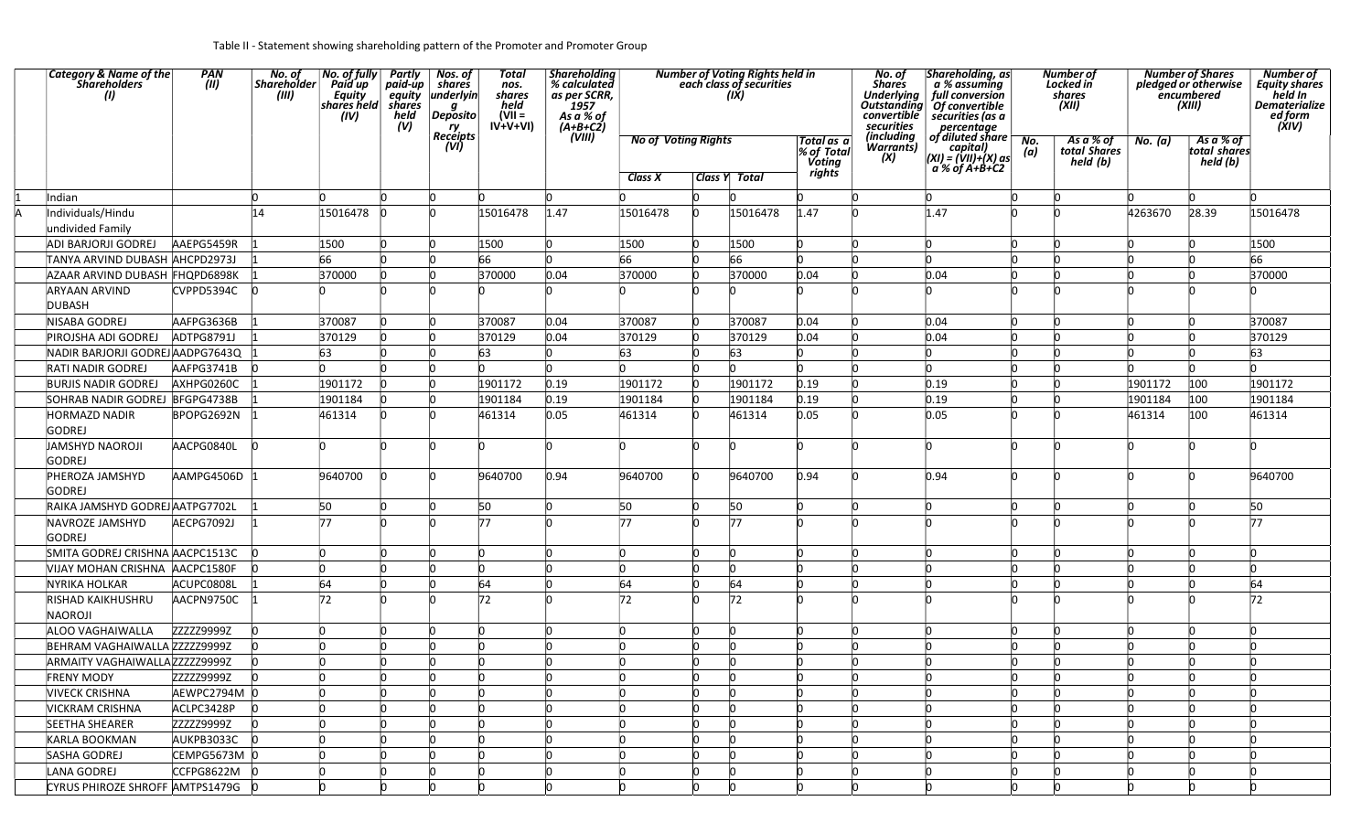| <b>Category &amp; Name of the</b><br>Shareholders<br>(1) | PAN<br>(III) | No. of<br>Shareholder<br>(III) | No. of fully Partly<br>Paid up<br>Equity equity<br>shares held shares<br>(IV) | paid-up<br>held<br>(V) | Nos. of<br>shares<br>underlyin<br>g<br><b>Deposito</b><br>ry<br><b>Receipts</b> | Total<br>nos.<br>shares<br>held<br>$(VII =$<br>$IV+V+VI$ | <b>Shareholding</b><br>% calculated<br>as per SCRR,<br>ี่ 1957<br>As a % of<br>$(A+B+C2)$ |                            |                           | <b>Number of Voting Rights held in</b><br>each class of securities<br>(IX) |                                     | No. of<br><b>Shares</b><br>convertible<br>securities<br>(including | Shareholding, as<br>a % assuming<br>Underlying full conversion<br>Outstanding Of convertible<br>securities (as a<br>percentage<br>of diluted share $\overline{p}$ |          | <b>Number</b> of<br>Locked in<br>shares<br>(XII) |         | <b>Number of Shares</b><br>pledged or otherwise<br>encumbered<br>(XIII) | Number of<br><b>Equity shares</b><br>held In<br><b>Dematerialize</b><br>ed form<br>(ÝIV) |
|----------------------------------------------------------|--------------|--------------------------------|-------------------------------------------------------------------------------|------------------------|---------------------------------------------------------------------------------|----------------------------------------------------------|-------------------------------------------------------------------------------------------|----------------------------|---------------------------|----------------------------------------------------------------------------|-------------------------------------|--------------------------------------------------------------------|-------------------------------------------------------------------------------------------------------------------------------------------------------------------|----------|--------------------------------------------------|---------|-------------------------------------------------------------------------|------------------------------------------------------------------------------------------|
|                                                          |              |                                |                                                                               |                        | (VI)                                                                            |                                                          | (VIII)                                                                                    | <b>No of Voting Rights</b> |                           |                                                                            | Total as  a<br>% of Total<br>Voting | Warrants)<br>(X)                                                   | capital)<br> (XI) = (VII)+(X) as                                                                                                                                  | (a)      | As a % of<br>total Shares<br>held (b)            | No. (a) | As a % of<br>total shares<br>held (b)                                   |                                                                                          |
|                                                          |              |                                |                                                                               |                        |                                                                                 |                                                          |                                                                                           | Class X                    |                           | <b>Class Y Total</b>                                                       | rights                              |                                                                    | a % of A+B+C2                                                                                                                                                     |          |                                                  |         |                                                                         |                                                                                          |
| Indian                                                   |              |                                |                                                                               |                        |                                                                                 |                                                          |                                                                                           |                            | n                         |                                                                            |                                     |                                                                    |                                                                                                                                                                   |          |                                                  |         |                                                                         |                                                                                          |
| Individuals/Hindu                                        |              | 14                             | 15016478                                                                      |                        |                                                                                 | 15016478                                                 | 1.47                                                                                      | 15016478                   | <b>l</b>                  | 15016478                                                                   | 1.47                                |                                                                    | 1.47                                                                                                                                                              |          |                                                  | 4263670 | 28.39                                                                   | 15016478                                                                                 |
| undivided Family                                         |              |                                |                                                                               |                        |                                                                                 |                                                          |                                                                                           |                            |                           |                                                                            |                                     |                                                                    |                                                                                                                                                                   |          |                                                  |         |                                                                         |                                                                                          |
| <b>ADI BARJORJI GODREJ</b>                               | AAEPG5459R   |                                | 1500                                                                          |                        |                                                                                 | 1500                                                     |                                                                                           | 1500                       | <b>l</b>                  | 1500                                                                       |                                     |                                                                    |                                                                                                                                                                   |          |                                                  |         |                                                                         | 1500                                                                                     |
| TANYA ARVIND DUBASH AHCPD2973J                           |              |                                | 66                                                                            |                        |                                                                                 | 66                                                       | h                                                                                         | 66                         | In                        | 66                                                                         |                                     |                                                                    |                                                                                                                                                                   |          |                                                  |         |                                                                         | 66                                                                                       |
| AZAAR ARVIND DUBASH FHQPD6898K                           |              |                                | 370000                                                                        |                        |                                                                                 | 370000                                                   | 0.04                                                                                      | 370000                     | In                        | 370000                                                                     | 0.04                                |                                                                    | 0.04                                                                                                                                                              |          |                                                  |         |                                                                         | 370000                                                                                   |
| ARYAAN ARVIND<br><b>DUBASH</b>                           | CVPPD5394C   |                                |                                                                               |                        |                                                                                 |                                                          |                                                                                           |                            |                           |                                                                            |                                     |                                                                    |                                                                                                                                                                   |          |                                                  |         |                                                                         |                                                                                          |
| NISABA GODREJ                                            | AAFPG3636B   |                                | 370087                                                                        | n                      |                                                                                 | 370087                                                   | 0.04                                                                                      | 370087                     | In                        | 370087                                                                     | 0.04                                |                                                                    | 0.04                                                                                                                                                              |          |                                                  |         |                                                                         | 370087                                                                                   |
| PIROJSHA ADI GODREJ                                      | ADTPG8791J   |                                | 370129                                                                        |                        |                                                                                 | 370129                                                   | 0.04                                                                                      | 370129                     | IO                        | 370129                                                                     | 0.04                                |                                                                    | 0.04                                                                                                                                                              |          |                                                  |         |                                                                         | 370129                                                                                   |
| NADIR BARJORJI GODREJ AADPG7643Q                         |              |                                | 63                                                                            |                        |                                                                                 | 63                                                       | 'n                                                                                        | 63                         | IO                        | 63                                                                         |                                     |                                                                    |                                                                                                                                                                   |          |                                                  |         |                                                                         | 63                                                                                       |
| <b>RATI NADIR GODREJ</b>                                 | AAFPG3741B   |                                |                                                                               |                        |                                                                                 |                                                          |                                                                                           |                            |                           |                                                                            |                                     |                                                                    |                                                                                                                                                                   |          |                                                  |         |                                                                         |                                                                                          |
| <b>BURJIS NADIR GODREJ</b>                               | AXHPG0260C   |                                | 1901172                                                                       |                        |                                                                                 | 1901172                                                  | 0.19                                                                                      | 1901172                    | $\mathsf{I}_{0}$          | 1901172                                                                    | 0.19                                |                                                                    | 0.19                                                                                                                                                              |          |                                                  | 1901172 | 100                                                                     | 1901172                                                                                  |
| SOHRAB NADIR GODREJ BFGPG4738B                           |              |                                | 1901184                                                                       |                        |                                                                                 | 1901184                                                  | 0.19                                                                                      | 1901184                    | $\Omega$                  | 1901184                                                                    | 0.19                                |                                                                    | 0.19                                                                                                                                                              |          |                                                  | 1901184 | 100                                                                     | 1901184                                                                                  |
| <b>HORMAZD NADIR</b><br><b>GODREJ</b>                    | BPOPG2692N   |                                | 461314                                                                        |                        |                                                                                 | 461314                                                   | 0.05                                                                                      | 461314                     | <b>n</b>                  | 461314                                                                     | 0.05                                |                                                                    | 0.05                                                                                                                                                              |          |                                                  | 461314  | 100                                                                     | 461314                                                                                   |
| JAMSHYD NAOROJI<br><b>GODREJ</b>                         | AACPG0840L   |                                |                                                                               |                        |                                                                                 |                                                          |                                                                                           |                            | l0                        |                                                                            |                                     |                                                                    |                                                                                                                                                                   |          |                                                  |         |                                                                         |                                                                                          |
| PHEROZA JAMSHYD<br><b>GODREJ</b>                         | AAMPG4506D   |                                | 9640700                                                                       |                        |                                                                                 | 9640700                                                  | 0.94                                                                                      | 9640700                    | <sub>IO</sub>             | 9640700                                                                    | 0.94                                |                                                                    | 0.94                                                                                                                                                              |          |                                                  |         |                                                                         | 9640700                                                                                  |
| RAIKA JAMSHYD GODREJ AATPG7702L                          |              |                                | 50                                                                            |                        |                                                                                 | 50                                                       | n                                                                                         | 50                         | IO                        | 50                                                                         |                                     |                                                                    |                                                                                                                                                                   |          |                                                  |         |                                                                         | 50                                                                                       |
| NAVROZE JAMSHYD                                          | AECPG7092J   |                                | 77                                                                            |                        |                                                                                 | 77                                                       | In                                                                                        | 77                         | <b>n</b>                  | 77                                                                         |                                     |                                                                    |                                                                                                                                                                   |          |                                                  |         |                                                                         | 77                                                                                       |
| <b>GODREJ</b>                                            |              |                                |                                                                               |                        |                                                                                 |                                                          |                                                                                           |                            |                           |                                                                            |                                     |                                                                    |                                                                                                                                                                   |          |                                                  |         |                                                                         |                                                                                          |
| SMITA GODREJ CRISHNA AACPC1513C                          |              |                                |                                                                               |                        |                                                                                 |                                                          |                                                                                           |                            | l0                        |                                                                            |                                     |                                                                    |                                                                                                                                                                   |          |                                                  |         |                                                                         |                                                                                          |
| VIJAY MOHAN CRISHNA AACPC1580F                           |              |                                |                                                                               |                        |                                                                                 | 'n                                                       | 'n                                                                                        | <b>n</b>                   | In                        |                                                                            |                                     |                                                                    |                                                                                                                                                                   |          |                                                  |         |                                                                         | 'n                                                                                       |
| <b>NYRIKA HOLKAR</b>                                     | ACUPC0808L   |                                | 64                                                                            | <b>n</b>               |                                                                                 | 64                                                       | ln.                                                                                       | 64                         | <b>l</b>                  | 64                                                                         |                                     |                                                                    |                                                                                                                                                                   |          |                                                  |         |                                                                         | 64                                                                                       |
| <b>RISHAD KAIKHUSHRU</b><br>NAOROJI                      | AACPN9750C   |                                | 72                                                                            |                        |                                                                                 | 72                                                       | In                                                                                        | 72                         | h                         | 72                                                                         |                                     |                                                                    |                                                                                                                                                                   |          |                                                  |         |                                                                         | 72                                                                                       |
| ALOO VAGHAIWALLA                                         | ZZZZZ9999Z   |                                |                                                                               | <b>n</b>               |                                                                                 | 'n                                                       | <b>n</b>                                                                                  | <b>n</b>                   | <sub>IO</sub>             |                                                                            |                                     |                                                                    |                                                                                                                                                                   |          |                                                  |         |                                                                         | 'n                                                                                       |
| BEHRAM VAGHAIWALLA ZZZZZ9999Z                            |              |                                |                                                                               |                        |                                                                                 |                                                          |                                                                                           | lo.                        | l0                        |                                                                            |                                     |                                                                    |                                                                                                                                                                   |          |                                                  |         |                                                                         |                                                                                          |
| ARMAITY VAGHAIWALLAZZZZZ29999Z                           |              |                                |                                                                               |                        |                                                                                 |                                                          |                                                                                           | In                         | l0                        |                                                                            |                                     |                                                                    |                                                                                                                                                                   |          |                                                  |         |                                                                         |                                                                                          |
| <b>FRENY MODY</b>                                        | ZZZZZ9999Z   | $\overline{0}$                 |                                                                               |                        |                                                                                 | IJ                                                       | .U                                                                                        | IJ                         | O                         | .U                                                                         | IU.                                 | .U                                                                 |                                                                                                                                                                   | .U       | .U                                               |         |                                                                         | .U                                                                                       |
| <b>VIVECK CRISHNA</b>                                    | AEWPC2794M 0 |                                | 'n                                                                            | In.                    |                                                                                 | <b>n</b>                                                 | In                                                                                        | <b>l</b>                   | l0                        | In                                                                         |                                     | <b>n</b>                                                           | In.                                                                                                                                                               | In       | 'n                                               |         |                                                                         | ln.                                                                                      |
| <b>VICKRAM CRISHNA</b>                                   | ACLPC3428P   |                                |                                                                               | In.                    |                                                                                 | 'n                                                       | In                                                                                        | <b>n</b>                   | lo.                       |                                                                            | n                                   | n                                                                  | n                                                                                                                                                                 | n        |                                                  |         |                                                                         | l0                                                                                       |
| <b>SEETHA SHEARER</b>                                    | ZZZZZ9999Z   | <b>n</b>                       |                                                                               | In.                    |                                                                                 | h                                                        | h                                                                                         | In                         | l0                        |                                                                            |                                     |                                                                    |                                                                                                                                                                   |          |                                                  |         |                                                                         |                                                                                          |
| KARLA BOOKMAN                                            | AUKPB3033C 0 |                                |                                                                               | In.                    |                                                                                 | 'n                                                       | 'n                                                                                        | In                         | $\mathsf{I}^{\mathsf{I}}$ |                                                                            |                                     | <b>n</b>                                                           |                                                                                                                                                                   | In       |                                                  |         |                                                                         | h                                                                                        |
| SASHA GODREJ                                             | CEMPG5673M 0 |                                | 'n                                                                            | In.                    |                                                                                 | <b>n</b>                                                 | $\overline{0}$                                                                            | $\mathsf{I}^{\mathsf{O}}$  | $\mathsf{I}^{\mathsf{O}}$ | In                                                                         | <b>n</b>                            | <b>n</b>                                                           | IO                                                                                                                                                                | <b>n</b> | n                                                |         |                                                                         | ln.                                                                                      |
| LANA GODREJ                                              | CCFPG8622M 0 |                                | l0                                                                            | In.                    |                                                                                 | In                                                       | $\Omega$                                                                                  | $\mathsf{I}^{\mathsf{O}}$  | $\mathsf{I}^{\mathsf{O}}$ | l0                                                                         | 'n                                  | l0                                                                 | 'n                                                                                                                                                                | <b>l</b> |                                                  | n       |                                                                         | ln.                                                                                      |
| CYRUS PHIROZE SHROFF AMTPS1479G 0                        |              |                                |                                                                               |                        |                                                                                 | h                                                        | 'n                                                                                        | h                          | 'n                        |                                                                            |                                     |                                                                    | In.                                                                                                                                                               | n        |                                                  |         |                                                                         |                                                                                          |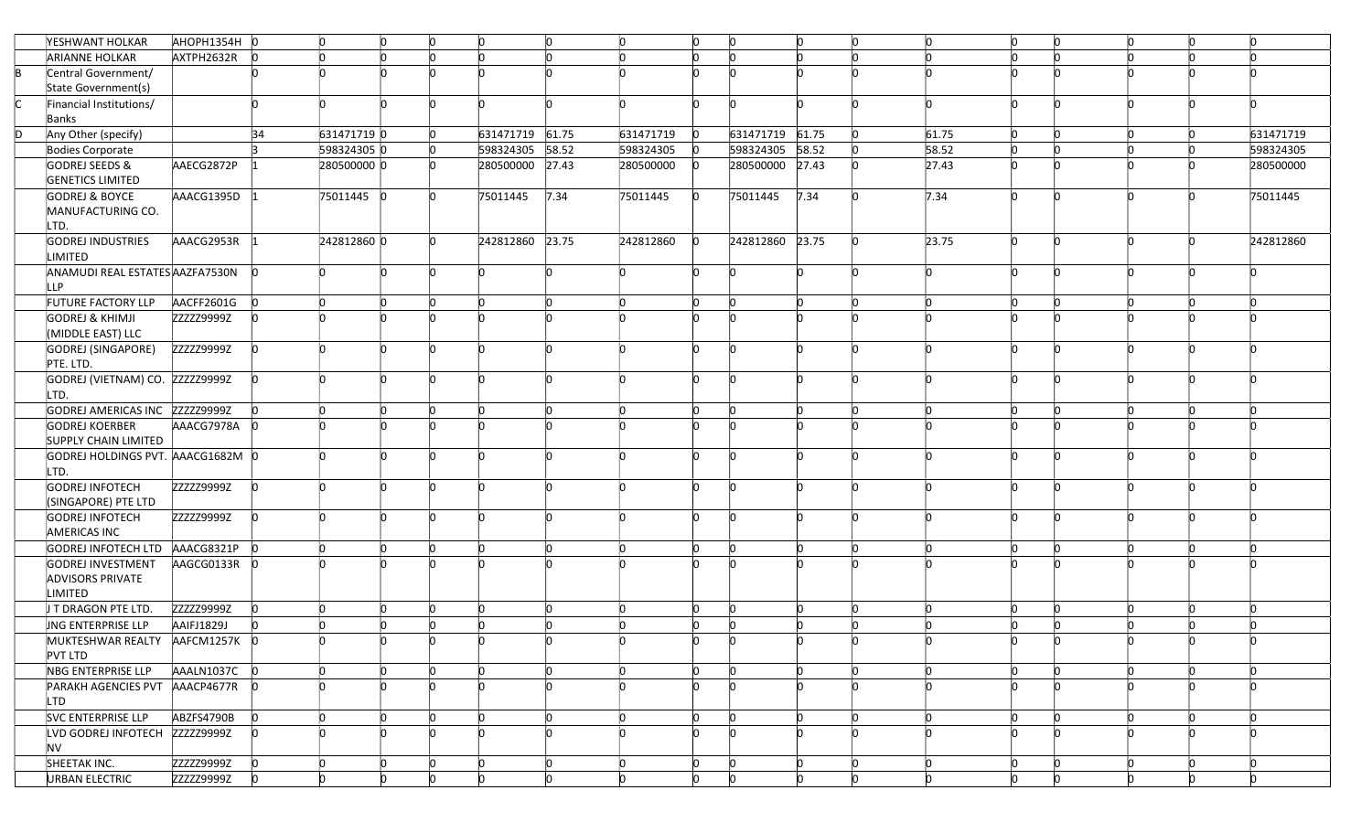|    | YESHWANT HOLKAR                                      | AHOPH1354H 0 |    | n           | IO. |     | Ю.              | n     | lo.          | In       | 'n              | Ю.       | In       | $\mathsf{D}$              |          | 'n | n         |
|----|------------------------------------------------------|--------------|----|-------------|-----|-----|-----------------|-------|--------------|----------|-----------------|----------|----------|---------------------------|----------|----|-----------|
|    | <b>ARIANNE HOLKAR</b>                                | AXTPH2632R   |    |             |     |     |                 |       | <b>n</b>     |          |                 |          |          |                           |          |    |           |
| lB | Central Government/                                  |              |    |             |     |     |                 |       | <b>n</b>     | n        |                 |          |          |                           |          |    |           |
|    | State Government(s)                                  |              |    |             |     |     |                 |       |              |          |                 |          |          |                           |          |    |           |
|    | Financial Institutions/                              |              |    |             | n   |     |                 |       | n            | n        |                 |          |          | ln.                       |          |    |           |
|    | Banks                                                |              |    |             |     |     |                 |       |              |          |                 |          |          |                           |          |    |           |
|    | Any Other (specify)                                  |              | 34 | 631471719 0 |     |     | 631471719 61.75 |       | 631471719    |          | 631471719 61.75 |          |          | 61.75                     |          |    | 631471719 |
|    | Bodies Corporate                                     |              |    | 598324305 0 |     | In. | 598324305       | 58.52 | 598324305    |          | 598324305 58.52 |          |          | 58.52                     |          |    | 598324305 |
|    | GODREJ SEEDS &                                       | AAECG2872P   |    | 280500000 0 |     |     | 280500000       | 27.43 | 280500000    |          | 280500000 27.43 |          |          | 27.43                     |          |    | 280500000 |
|    | <b>GENETICS LIMITED</b>                              |              |    |             |     |     |                 |       |              |          |                 |          |          |                           |          |    |           |
|    | <b>GODREJ &amp; BOYCE</b>                            | AAACG1395D   |    | 75011445 0  |     |     | 75011445        | 7.34  | 75011445     |          | 75011445        | 7.34     |          | 7.34                      |          |    | 75011445  |
|    | MANUFACTURING CO.                                    |              |    |             |     |     |                 |       |              |          |                 |          |          |                           |          |    |           |
|    | LTD.                                                 |              |    |             |     |     |                 |       |              |          |                 |          |          |                           |          |    |           |
|    | <b>GODREJ INDUSTRIES</b>                             | AAACG2953R   |    | 242812860 0 |     |     | 242812860       | 23.75 | 242812860    |          | 242812860       | 23.75    |          | 23.75                     |          |    | 242812860 |
|    | LIMITED                                              |              |    |             |     |     |                 |       |              |          |                 |          |          |                           |          |    |           |
|    | ANAMUDI REAL ESTATES AAZFA7530N                      |              |    |             |     |     |                 |       | h            | <b>n</b> |                 |          |          |                           | <b>n</b> |    |           |
|    | LLP.                                                 |              |    |             |     |     |                 |       |              |          |                 |          |          |                           |          |    |           |
|    | FUTURE FACTORY LLP                                   | AACFF2601G   |    |             |     |     | n               |       | <b>l</b>     |          |                 | 'n       |          | In.                       |          |    |           |
|    | <b>GODREJ &amp; KHIMJI</b>                           | ZZZZZ9999Z   |    |             |     |     |                 |       | h            |          |                 |          |          |                           |          |    |           |
|    | (MIDDLE EAST) LLC                                    |              |    |             |     |     |                 |       |              |          |                 |          |          |                           |          |    |           |
|    | GODREJ (SINGAPORE)                                   | ZZZZZ9999Z   |    |             |     |     | n               |       | <b>n</b>     | n        |                 | 'n       |          | 'n                        |          |    |           |
|    | PTE. LTD.                                            |              |    |             |     |     |                 |       |              |          |                 |          |          |                           |          |    |           |
|    | GODREJ (VIETNAM) CO. ZZZZZ9999Z                      |              |    |             | n   |     | n               |       | lo.          | 'n       | ľn              | 'n       |          | n                         | n        |    |           |
|    | LTD.                                                 |              |    |             |     |     |                 |       |              |          |                 |          |          |                           |          |    |           |
|    | GODREJ AMERICAS INC ZZZZZ9999Z                       |              |    |             |     |     | n               |       | lo.<br>h     |          |                 | n        |          | $\mathsf{D}$<br>h         |          |    |           |
|    | <b>GODREJ KOERBER</b><br><b>SUPPLY CHAIN LIMITED</b> | AAACG7978A   |    |             |     |     |                 |       |              |          |                 |          |          |                           |          |    |           |
|    | GODREJ HOLDINGS PVT. AAACG1682M 0                    |              |    |             | n   |     |                 |       | n            | 'n       |                 |          |          |                           |          |    |           |
|    | LTD.                                                 |              |    |             |     |     |                 |       |              |          |                 |          |          |                           |          |    |           |
|    | <b>GODREJ INFOTECH</b>                               | ZZZZZ9999Z   |    |             |     |     |                 |       |              |          |                 |          |          |                           |          |    |           |
|    | (SINGAPORE) PTE LTD                                  |              |    |             |     |     |                 |       |              |          |                 |          |          |                           |          |    |           |
|    | <b>GODREJ INFOTECH</b>                               | ZZZZZ9999Z   |    |             | In. |     | n               |       | lo.          | <b>n</b> |                 | 'n       |          | 'n                        | 'n       |    |           |
|    | <b>AMERICAS INC</b>                                  |              |    |             |     |     |                 |       |              |          |                 |          |          |                           |          |    |           |
|    | GODREJ INFOTECH LTD                                  | AAACG8321P   |    |             |     |     | n               | n     | $\mathsf{D}$ | n        |                 | 'n       |          | In.                       | In       |    |           |
|    | GODREJ INVESTMENT                                    | AAGCG0133R   |    |             |     |     |                 |       |              |          |                 |          |          |                           |          |    |           |
|    | <b>ADVISORS PRIVATE</b>                              |              |    |             |     |     |                 |       |              |          |                 |          |          |                           |          |    |           |
|    | <b>LIMITED</b>                                       |              |    |             |     |     |                 |       |              |          |                 |          |          |                           |          |    |           |
|    | J T DRAGON PTE LTD.                                  | ZZZZZ9999Z   |    |             | n   |     | h               |       | <b>n</b>     | 'n       |                 | 'n       |          | h                         |          |    |           |
|    | <b>JNG ENTERPRISE LLP</b>                            | AAIFJ1829J   |    |             |     |     |                 |       | <b>n</b>     | In       |                 |          |          | n                         |          |    |           |
|    | MUKTESHWAR REALTY AAFCM1257K 0                       |              |    |             |     |     | 'n              |       |              |          |                 |          |          |                           |          |    |           |
|    | <b>PVT LTD</b>                                       |              |    |             |     |     |                 |       |              |          |                 |          |          |                           |          |    |           |
|    | NBG ENTERPRISE LLP                                   | AAALN1037C   |    |             | n.  |     | IO.             | In.   | lo.          | 'n       | lo.             | IO.      |          | $\mathsf{I}^{\mathsf{O}}$ | In       | n  | 'n        |
|    | PARAKH AGENCIES PVT AAACP4677R                       |              |    |             |     |     | n               |       | <b>n</b>     | In       |                 | 'n       |          | 'n                        | In       |    |           |
|    | LTD                                                  |              |    |             |     |     |                 |       |              |          |                 |          |          |                           |          |    |           |
|    | SVC ENTERPRISE LLP                                   | ABZFS4790B   |    |             | ln. |     | ln.             | h     | $\mathsf{D}$ | 'n       | In              | ln.      | <b>n</b> | lo.                       | 'n       |    | 'n        |
|    | LVD GODREJ INFOTECH ZZZZZ9999Z                       |              |    |             | 'n  |     | n               | n     | ln.          | <b>n</b> |                 | n        | In       | n                         | 'n       |    |           |
|    | <b>NV</b>                                            |              |    |             |     |     |                 |       |              |          |                 |          |          |                           |          |    |           |
|    | SHEETAK INC.                                         | ZZZZZ9999Z   |    |             | n   |     | n               | n     | lo.          | n        | n               | Ю.       | In       | $\mathsf{I}^{\mathsf{O}}$ | IO       | n  | 'n        |
|    | <b>URBAN ELECTRIC</b>                                | ZZZZZ9999Z   |    | n           |     |     | h               |       | lo.          | 'n       |                 | <b>n</b> | 'n       | n.                        | 'n       |    |           |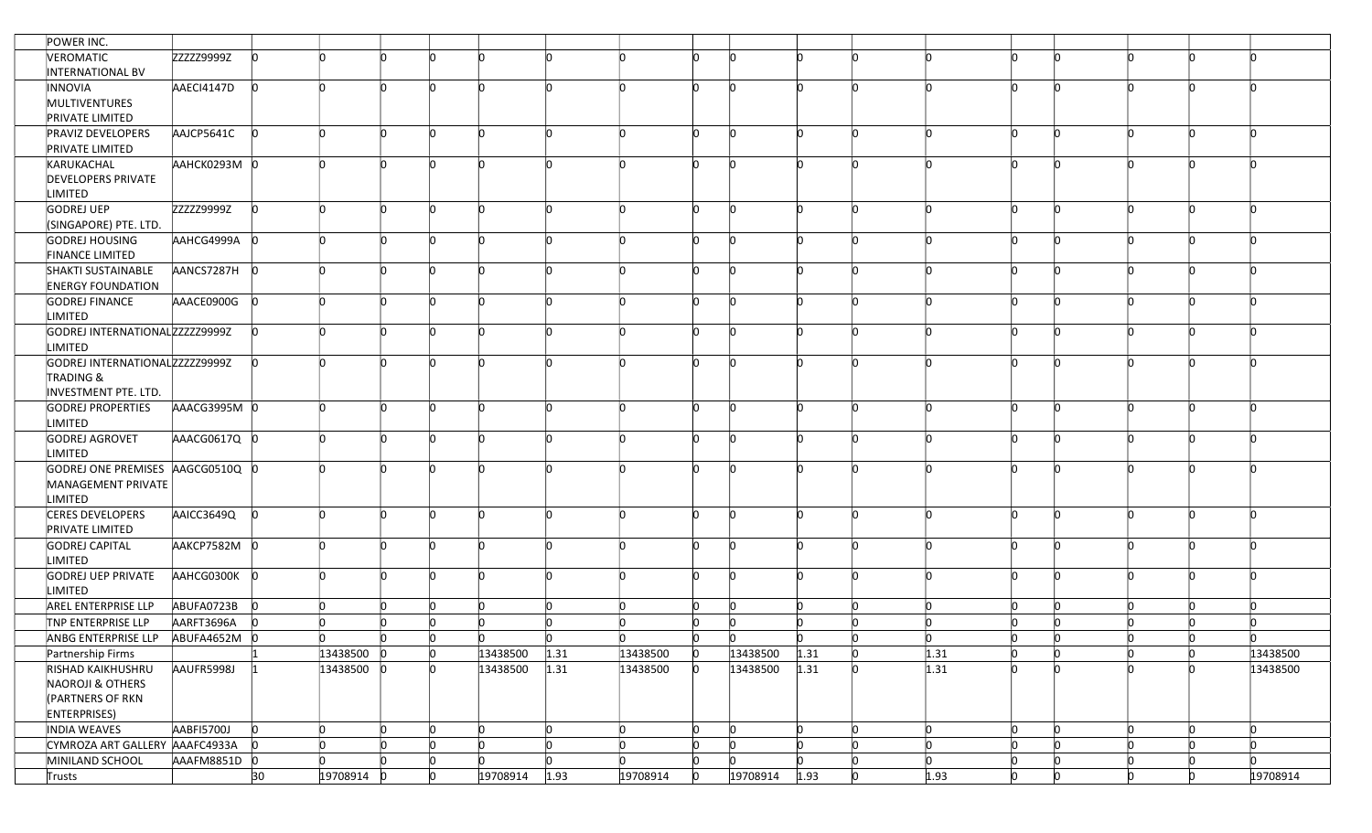| POWER INC.                     |              |            |                           |     |    |          |                           |                           |                           |                           |      |    |      |              |   |    |     |          |
|--------------------------------|--------------|------------|---------------------------|-----|----|----------|---------------------------|---------------------------|---------------------------|---------------------------|------|----|------|--------------|---|----|-----|----------|
| VEROMATIC                      | ZZZZZ9999Z   |            |                           |     |    |          | n                         | n                         | n                         |                           |      |    |      |              |   |    |     |          |
| INTERNATIONAL BV               |              |            |                           |     |    |          |                           |                           |                           |                           |      |    |      |              |   |    |     |          |
| INNOVIA                        | AAECI4147D   | 'n         |                           |     |    |          | 'n                        | 'n                        | In.                       |                           |      |    |      | m            |   |    |     |          |
| MULTIVENTURES                  |              |            |                           |     |    |          |                           |                           |                           |                           |      |    |      |              |   |    |     |          |
| <b>PRIVATE LIMITED</b>         |              |            |                           |     |    |          |                           |                           |                           |                           |      |    |      |              |   |    |     |          |
| <b>PRAVIZ DEVELOPERS</b>       | AAJCP5641C   |            | n                         | n   | n  |          | In                        |                           | In.                       | l0                        | n    |    |      | In           |   |    |     |          |
| <b>PRIVATE LIMITED</b>         |              |            |                           |     |    |          |                           |                           |                           |                           |      |    |      |              |   |    |     |          |
| KARUKACHAL                     | ААНСК0293М 0 |            |                           | n   | n  |          | 'n                        | 'n                        | In.                       | n                         | n    |    |      | In           |   |    |     |          |
|                                |              |            |                           |     |    |          |                           |                           |                           |                           |      |    |      |              |   |    |     |          |
| <b>DEVELOPERS PRIVATE</b>      |              |            |                           |     |    |          |                           |                           |                           |                           |      |    |      |              |   |    |     |          |
| <b>LIMITED</b>                 |              |            |                           |     |    |          |                           |                           |                           |                           |      |    |      |              |   |    |     |          |
| GODREJ UEP                     | ZZZZZ9999Z   | 'n         |                           |     |    | h        | 'n                        | 'n                        | ln.                       | <b>n</b>                  | 'n   |    |      |              |   |    |     |          |
| (SINGAPORE) PTE. LTD.          |              |            |                           |     |    |          |                           |                           |                           |                           |      |    |      |              |   |    |     |          |
| <b>GODREJ HOUSING</b>          | AAHCG4999A 0 |            |                           |     |    |          | <b>n</b>                  | h                         | ln.                       | <b>n</b>                  | n    |    |      | In           |   |    |     |          |
| <b>FINANCE LIMITED</b>         |              |            |                           |     |    |          |                           |                           |                           |                           |      |    |      |              |   |    |     |          |
| SHAKTI SUSTAINABLE             | AANCS7287H 0 |            |                           |     |    | h        | <b>n</b>                  | h                         | $\mathsf{I}_{\mathsf{O}}$ | <b>n</b>                  | h    |    |      |              |   |    |     |          |
| <b>ENERGY FOUNDATION</b>       |              |            |                           |     |    |          |                           |                           |                           |                           |      |    |      |              |   |    |     |          |
| <b>GODREJ FINANCE</b>          | AAACE0900G   |            |                           |     |    |          | 'n                        | 'n                        | In.                       |                           |      |    |      |              |   |    |     |          |
| LIMITED                        |              |            |                           |     |    |          |                           |                           |                           |                           |      |    |      |              |   |    |     |          |
| GODREJ INTERNATIONALZZZZZ9999Z |              |            |                           |     |    |          | n                         | n                         | In.                       |                           | n    |    |      |              |   |    |     |          |
| LIMITED                        |              |            |                           |     |    |          |                           |                           |                           |                           |      |    |      |              |   |    |     |          |
| GODREJ INTERNATIONALZZZZZ9999Z |              |            |                           |     |    |          | 'n                        | 'n                        | ln.                       | <b>n</b>                  | n    |    |      |              |   |    |     |          |
| <b>TRADING &amp;</b>           |              |            |                           |     |    |          |                           |                           |                           |                           |      |    |      |              |   |    |     |          |
| INVESTMENT PTE. LTD.           |              |            |                           |     |    |          |                           |                           |                           |                           |      |    |      |              |   |    |     |          |
| <b>GODREJ PROPERTIES</b>       | AAACG3995M 0 |            | 'n                        |     |    |          | In                        |                           | lo.                       | <b>n</b>                  |      |    |      | In           |   |    |     |          |
| LIMITED                        |              |            |                           |     |    |          |                           |                           |                           |                           |      |    |      |              |   |    |     |          |
| GODREJ AGROVET                 | AAACG0617Q 0 |            |                           |     |    |          |                           |                           | 'n                        |                           |      |    |      |              |   |    |     |          |
| LIMITED                        |              |            |                           |     |    |          |                           |                           |                           |                           |      |    |      |              |   |    |     |          |
| GODREJ ONE PREMISES AAGCG0510Q |              |            |                           |     |    |          |                           |                           |                           |                           |      |    |      |              |   |    |     |          |
|                                |              |            |                           |     |    |          |                           |                           |                           |                           |      |    |      |              |   |    |     |          |
| MANAGEMENT PRIVATE             |              |            |                           |     |    |          |                           |                           |                           |                           |      |    |      |              |   |    |     |          |
| LIMITED                        |              |            |                           |     |    |          |                           |                           |                           |                           |      |    |      |              |   |    |     |          |
| CERES DEVELOPERS               | AAICC3649Q   |            | 'n                        | n.  |    |          | 'n                        | <b>n</b>                  | $\Omega$                  |                           |      |    |      | 'n           |   |    |     |          |
| <b>PRIVATE LIMITED</b>         |              |            |                           |     |    |          |                           |                           |                           |                           |      |    |      |              |   |    |     |          |
| <b>GODREJ CAPITAL</b>          | AAKCP7582M 0 |            |                           |     |    |          | h                         |                           | In.                       |                           |      |    |      |              |   |    |     |          |
| LIMITED                        |              |            |                           |     |    |          |                           |                           |                           |                           |      |    |      |              |   |    |     |          |
| <b>GODREJ UEP PRIVATE</b>      | AAHCG0300K   |            |                           |     |    |          | 'n                        |                           | ln.                       |                           |      |    |      |              |   |    |     |          |
| LIMITED                        |              |            |                           |     |    |          |                           |                           |                           |                           |      |    |      |              |   |    |     |          |
| AREL ENTERPRISE LLP            | ABUFA0723B   |            |                           |     |    | 'n       | lo.                       | $\mathsf{D}$              | $\mathsf{I}_{\mathsf{O}}$ | $\Omega$                  | n    |    | In.  |              |   |    |     |          |
| TNP ENTERPRISE LLP             | AARFT3696A   |            |                           |     |    |          | In                        |                           | In                        |                           |      |    |      |              |   |    |     |          |
| ANBG ENTERPRISE LLP            | ABUFA4652M 0 |            | $\mathsf{I}^{\mathsf{O}}$ | In. | l0 | In.      | ln.                       | $\Omega$                  | $\overline{0}$            | <b>n</b>                  | n.   |    | n    | n            |   |    | n   | n        |
| Partnership Firms              |              |            | 13438500 0                |     | 10 | 13438500 | 1.31                      | 13438500                  | 10                        | 13438500                  | 1.31 | 'n | 1.31 | n            | n | n. | n.  | 13438500 |
| RISHAD KAIKHUSHRU              | AAUFR5998J   |            | 13438500 0                |     |    | 13438500 | 1.31                      | 13438500                  | 'n                        | 13438500                  | 1.31 |    | 1.31 |              |   |    |     | 13438500 |
| NAOROJI & OTHERS               |              |            |                           |     |    |          |                           |                           |                           |                           |      |    |      |              |   |    |     |          |
| (PARTNERS OF RKN               |              |            |                           |     |    |          |                           |                           |                           |                           |      |    |      |              |   |    |     |          |
| <b>ENTERPRISES</b> )           |              |            |                           |     |    |          |                           |                           |                           |                           |      |    |      |              |   |    |     |          |
| INDIA WEAVES                   | AABFI5700J   | $\Omega$   | $\mathsf{D}$              | In. | l0 | <b>n</b> | $\overline{0}$            | $\mathsf{I}_{\mathsf{O}}$ | $\mathsf{I}^{\mathsf{O}}$ | $\overline{0}$            | h    |    | ln.  | $\mathsf{D}$ |   | n  | ln. | 'n       |
|                                |              | <b>I</b> n | 'n                        |     |    | 'n       |                           | <b>n</b>                  |                           |                           |      |    |      | l0           |   |    | 'n  | 'n       |
| CYMROZA ART GALLERY AAAFC4933A |              |            |                           |     |    |          | $\mathsf{I}^{\mathsf{O}}$ |                           | $\Omega$                  | $\mathsf{I}^{\mathsf{O}}$ |      |    | In.  |              |   |    |     |          |
| MINILAND SCHOOL                | AAAFM8851D 0 |            | n                         | n   |    |          | lo.                       | <b>n</b>                  | $\overline{0}$            | n                         |      |    | ln.  | 'n           |   |    | n   | 'n       |
| <b>Trusts</b>                  |              | 30         | 19708914 0                |     |    | 19708914 | 1.93                      | 19708914                  | Ю                         | 19708914                  | 1.93 |    | 1.93 | Ю            |   |    |     | 19708914 |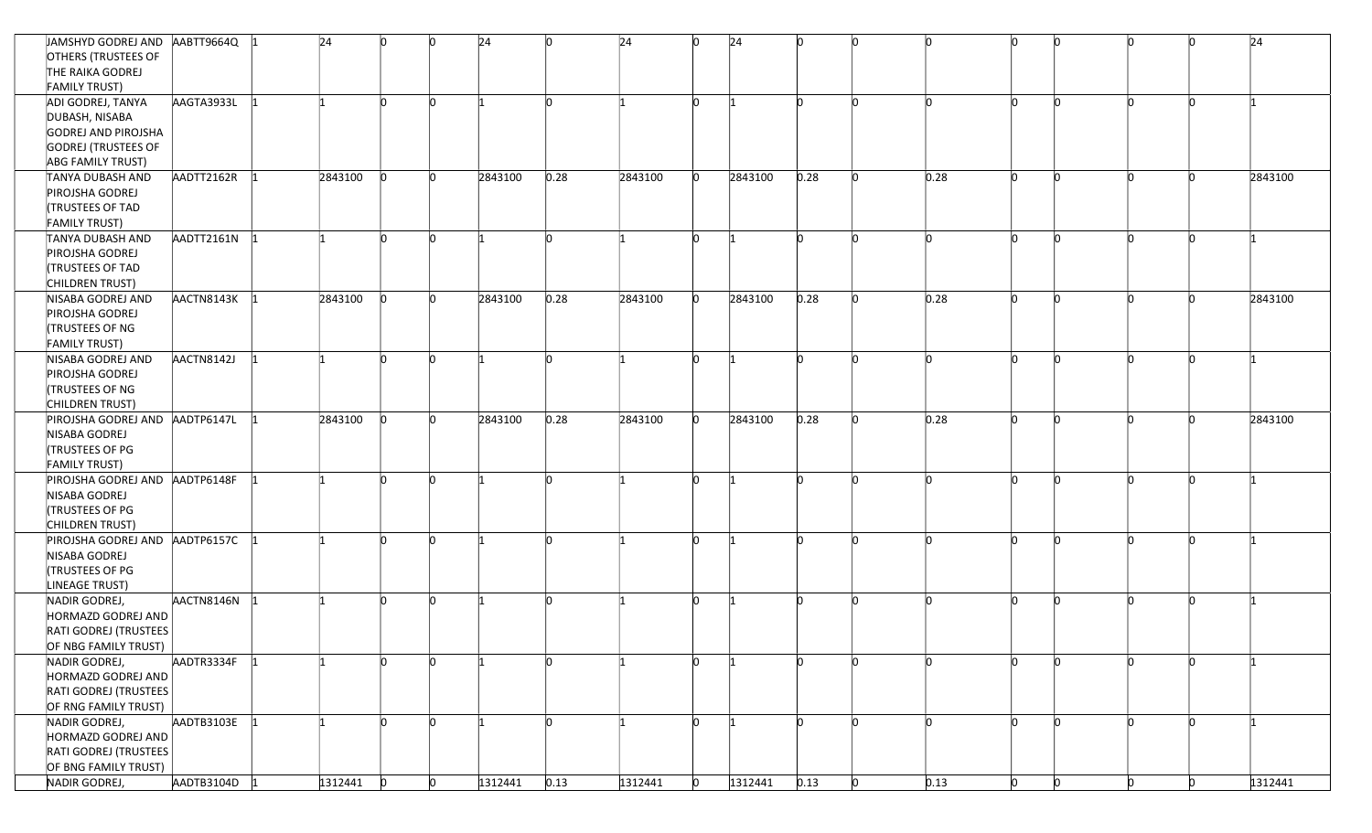| JAMSHYD GODREJ AND AABTT9664Q  |            | 24      | n            | n  | 24      | ln.      | 24      | $\mathsf{I}^{\mathsf{O}}$ | 24      | <b>n</b> | n |      | 'n       |    |    |   | 24      |
|--------------------------------|------------|---------|--------------|----|---------|----------|---------|---------------------------|---------|----------|---|------|----------|----|----|---|---------|
| OTHERS (TRUSTEES OF            |            |         |              |    |         |          |         |                           |         |          |   |      |          |    |    |   |         |
| THE RAIKA GODREJ               |            |         |              |    |         |          |         |                           |         |          |   |      |          |    |    |   |         |
| <b>FAMILY TRUST)</b>           |            |         |              |    |         |          |         |                           |         |          |   |      |          |    |    |   |         |
| ADI GODREJ, TANYA              | AAGTA3933L |         | n            | n  |         | <b>n</b> |         | $\mathsf{I}^{\mathsf{O}}$ |         | 'n       |   |      | <b>n</b> | 'n |    |   |         |
| DUBASH, NISABA                 |            |         |              |    |         |          |         |                           |         |          |   |      |          |    |    |   |         |
| GODREJ AND PIROJSHA            |            |         |              |    |         |          |         |                           |         |          |   |      |          |    |    |   |         |
|                                |            |         |              |    |         |          |         |                           |         |          |   |      |          |    |    |   |         |
| <b>GODREJ (TRUSTEES OF</b>     |            |         |              |    |         |          |         |                           |         |          |   |      |          |    |    |   |         |
| <b>ABG FAMILY TRUST)</b>       |            |         |              |    | 2843100 |          |         | ln.                       | 2843100 | 0.28     |   |      | In       |    |    |   |         |
| TANYA DUBASH AND               | AADTT2162R | 2843100 |              |    |         | 0.28     | 2843100 |                           |         |          |   | 0.28 |          |    |    |   | 2843100 |
| PIROJSHA GODREJ                |            |         |              |    |         |          |         |                           |         |          |   |      |          |    |    |   |         |
| <b>(TRUSTEES OF TAD</b>        |            |         |              |    |         |          |         |                           |         |          |   |      |          |    |    |   |         |
| <b>FAMILY TRUST)</b>           |            |         |              |    |         |          |         |                           |         |          |   |      |          |    |    |   |         |
| TANYA DUBASH AND               | AADTT2161N |         |              |    |         | <b>n</b> |         | <b>n</b>                  |         |          |   |      | <b>I</b> |    |    |   |         |
| PIROJSHA GODREJ                |            |         |              |    |         |          |         |                           |         |          |   |      |          |    |    |   |         |
| <b>(TRUSTEES OF TAD</b>        |            |         |              |    |         |          |         |                           |         |          |   |      |          |    |    |   |         |
| CHILDREN TRUST)                |            |         |              |    |         |          |         |                           |         |          |   |      |          |    |    |   |         |
| NISABA GODREJ AND              | AACTN8143K | 2843100 |              |    | 2843100 | 0.28     | 2843100 | $\mathsf{I}_{\mathsf{O}}$ | 2843100 | 0.28     |   | 0.28 | 'n       |    |    |   | 2843100 |
| PIROJSHA GODREJ                |            |         |              |    |         |          |         |                           |         |          |   |      |          |    |    |   |         |
| TRUSTEES OF NG                 |            |         |              |    |         |          |         |                           |         |          |   |      |          |    |    |   |         |
| <b>FAMILY TRUST)</b>           |            |         |              |    |         |          |         |                           |         |          |   |      |          |    |    |   |         |
| NISABA GODREJ AND              | AACTN8142J |         |              |    |         |          |         | <b>n</b>                  |         |          |   |      | In       |    |    |   |         |
| PIROJSHA GODREJ                |            |         |              |    |         |          |         |                           |         |          |   |      |          |    |    |   |         |
| <b>(TRUSTEES OF NG</b>         |            |         |              |    |         |          |         |                           |         |          |   |      |          |    |    |   |         |
| CHILDREN TRUST)                |            |         |              |    |         |          |         |                           |         |          |   |      |          |    |    |   |         |
| PIROJSHA GODREJ AND AADTP6147L |            | 2843100 |              |    | 2843100 | 0.28     | 2843100 | <b>n</b>                  | 2843100 | 0.28     |   | 0.28 | In       |    |    |   | 2843100 |
| NISABA GODREJ                  |            |         |              |    |         |          |         |                           |         |          |   |      |          |    |    |   |         |
| <b>(TRUSTEES OF PG</b>         |            |         |              |    |         |          |         |                           |         |          |   |      |          |    |    |   |         |
| <b>FAMILY TRUST)</b>           |            |         |              |    |         |          |         |                           |         |          |   |      |          |    |    |   |         |
| PIROJSHA GODREJ AND AADTP6148F |            |         | <b>n</b>     |    |         | 'n       |         | <b>n</b>                  |         |          |   | In.  | 'n       |    |    |   |         |
| NISABA GODREJ                  |            |         |              |    |         |          |         |                           |         |          |   |      |          |    |    |   |         |
| <b>(TRUSTEES OF PG</b>         |            |         |              |    |         |          |         |                           |         |          |   |      |          |    |    |   |         |
| CHILDREN TRUST)                |            |         |              |    |         |          |         |                           |         |          |   |      |          |    |    |   |         |
| PIROJSHA GODREJ AND            | AADTP6157C |         |              |    |         |          |         | ln.                       |         |          |   |      | ľn       |    |    |   |         |
| NISABA GODREJ                  |            |         |              |    |         |          |         |                           |         |          |   |      |          |    |    |   |         |
| TRUSTEES OF PG                 |            |         |              |    |         |          |         |                           |         |          |   |      |          |    |    |   |         |
| LINEAGE TRUST)                 |            |         |              |    |         |          |         |                           |         |          |   |      |          |    |    |   |         |
| NADIR GODREJ,                  | AACTN8146N |         |              |    |         | In       |         | l0                        |         |          |   |      | 'n       |    |    |   |         |
| HORMAZD GODREJ AND             |            |         |              |    |         |          |         |                           |         |          |   |      |          |    |    |   |         |
| RATI GODREJ (TRUSTEES          |            |         |              |    |         |          |         |                           |         |          |   |      |          |    |    |   |         |
| OF NBG FAMILY TRUST)           |            |         |              |    |         |          |         |                           |         |          |   |      |          |    |    |   |         |
|                                | AADTR3334F |         |              |    |         |          |         | <b>n</b>                  |         |          |   |      |          |    |    |   |         |
| NADIR GODREJ,                  |            |         |              |    |         |          |         |                           |         |          |   |      |          |    |    |   |         |
| HORMAZD GODREJ AND             |            |         |              |    |         |          |         |                           |         |          |   |      |          |    |    |   |         |
| RATI GODREJ (TRUSTEES          |            |         |              |    |         |          |         |                           |         |          |   |      |          |    |    |   |         |
| OF RNG FAMILY TRUST)           |            |         |              |    |         |          |         |                           |         |          |   |      |          |    |    |   |         |
| NADIR GODREJ,                  | AADTB3103E |         | <b>n</b>     | 'n |         | <b>n</b> |         | $\Omega$                  |         | In.      |   | In.  | <b>n</b> | 'n |    |   |         |
| HORMAZD GODREJ AND             |            |         |              |    |         |          |         |                           |         |          |   |      |          |    |    |   |         |
| RATI GODREJ (TRUSTEES          |            |         |              |    |         |          |         |                           |         |          |   |      |          |    |    |   |         |
| OF BNG FAMILY TRUST)           |            |         |              |    |         |          |         |                           |         |          |   |      |          |    |    |   |         |
| NADIR GODREJ,                  | AADTB3104D | 1312441 | $\mathbf{0}$ | n  | 1312441 | 0.13     | 1312441 | $\mathsf{I}_{\mathsf{O}}$ | 1312441 | 0.13     |   | 0.13 | 'n.      | n  | n. | n | 1312441 |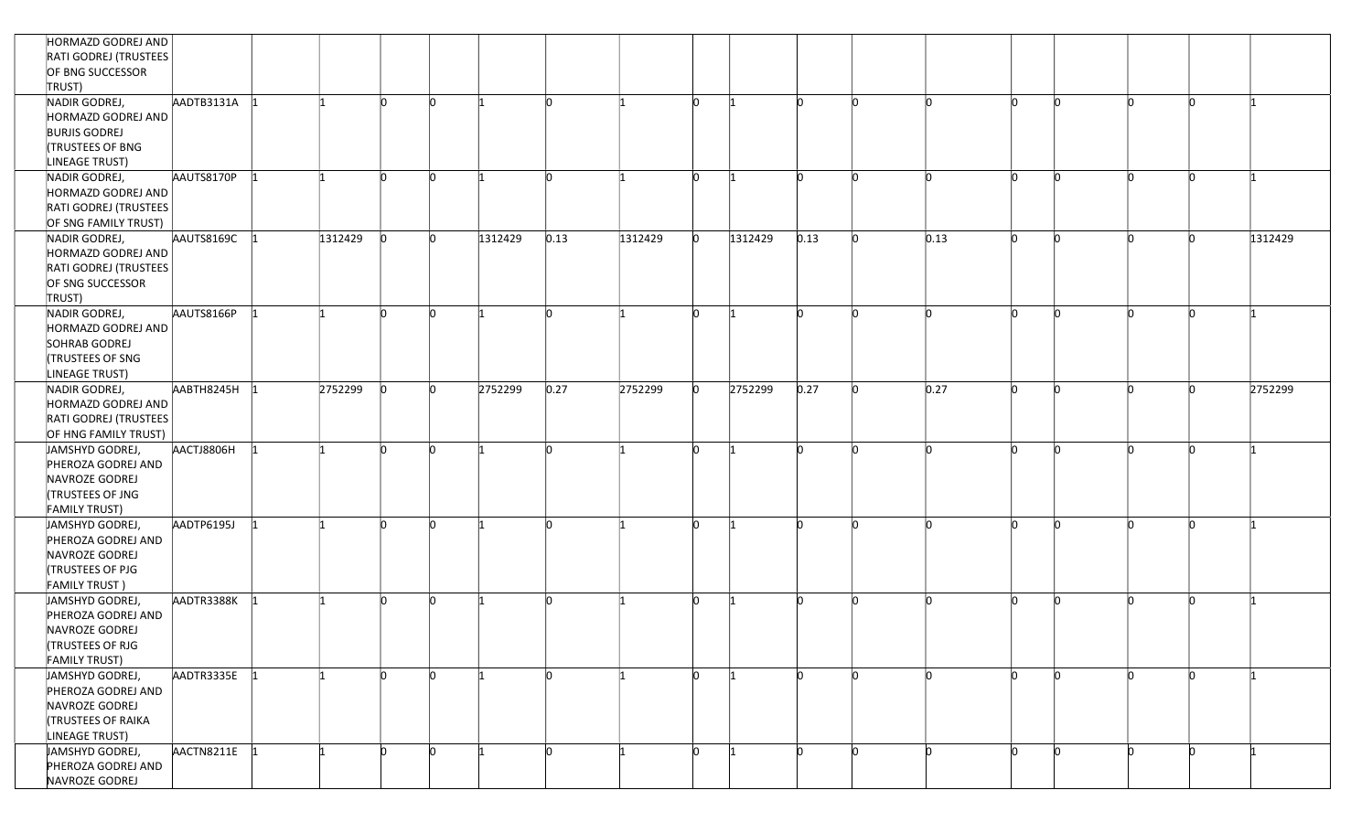| HORMAZD GODREJ AND<br>RATI GODREJ (TRUSTEES<br>OF BNG SUCCESSOR<br>TRUST)                                 |            |         |    |            |         |          |         |              |         |      |      |          |  |   |         |
|-----------------------------------------------------------------------------------------------------------|------------|---------|----|------------|---------|----------|---------|--------------|---------|------|------|----------|--|---|---------|
| NADIR GODREJ,<br>HORMAZD GODREJ AND<br><b>BURJIS GODREJ</b><br>TRUSTEES OF BNG<br>LINEAGE TRUST)          | AADTB3131A |         | n  | n          |         | ln.      |         | ln.          |         | n    |      | n        |  |   |         |
| NADIR GODREJ,<br>HORMAZD GODREJ AND<br>RATI GODREJ (TRUSTEES<br>OF SNG FAMILY TRUST)                      | AAUTS8170P |         | n  | $\sqrt{ }$ |         | 'n       |         | In.          |         | n    |      | In       |  |   |         |
| NADIR GODREJ,<br>HORMAZD GODREJ AND<br>RATI GODREJ (TRUSTEES<br>OF SNG SUCCESSOR<br>TRUST)                | AAUTS8169C | 1312429 | n. | 'n         | 1312429 | 0.13     | 1312429 | $\mathsf{D}$ | 1312429 | 0.13 | 0.13 | 'n       |  |   | 1312429 |
| NADIR GODREJ,<br>HORMAZD GODREJ AND<br>SOHRAB GODREJ<br><b>(TRUSTEES OF SNG</b><br>LINEAGE TRUST)         | AAUTS8166P |         | n  | 'n         |         | lo.      |         | lo.          | -11     | n    | n    | <b>n</b> |  | n |         |
| NADIR GODREJ,<br>HORMAZD GODREJ AND<br>RATI GODREJ (TRUSTEES<br>OF HNG FAMILY TRUST)                      | AABTH8245H | 2752299 |    |            | 2752299 | 0.27     | 2752299 | n            | 2752299 | 0.27 | 0.27 |          |  |   | 2752299 |
| JAMSHYD GODREJ,<br>PHEROZA GODREJ AND<br>NAVROZE GODREJ<br>TRUSTEES OF JNG<br><b>FAMILY TRUST)</b>        | AACTJ8806H |         |    |            |         | <b>n</b> |         | In.          |         |      |      |          |  |   |         |
| JAMSHYD GODREJ,<br>PHEROZA GODREJ AND<br>NAVROZE GODREJ<br><b>TRUSTEES OF PJG</b><br><b>FAMILY TRUST)</b> | AADTP6195J |         | n  | 'n         |         | n        |         | ln.          | -11     | n    |      | <b>n</b> |  | n |         |
| JAMSHYD GODREJ,<br>PHEROZA GODREJ AND<br>NAVROZE GODREJ<br><b>TRUSTEES OF RJG</b><br><b>FAMILY TRUST)</b> | AADTR3388K |         |    |            |         | 'n       |         | In.          |         | n    |      | ľn       |  |   |         |
| JAMSHYD GODREJ,<br>PHEROZA GODREJ AND<br>NAVROZE GODREJ<br>TRUSTEES OF RAIKA<br>LINEAGE TRUST)            | AADTR3335E |         |    | 'n         |         | <b>n</b> |         | In.          |         | 'n   |      |          |  |   |         |
| JAMSHYD GODREJ,<br>PHEROZA GODREJ AND<br>NAVROZE GODREJ                                                   | AACTN8211E |         |    |            |         | n        |         | In.          |         |      |      | 'n       |  |   |         |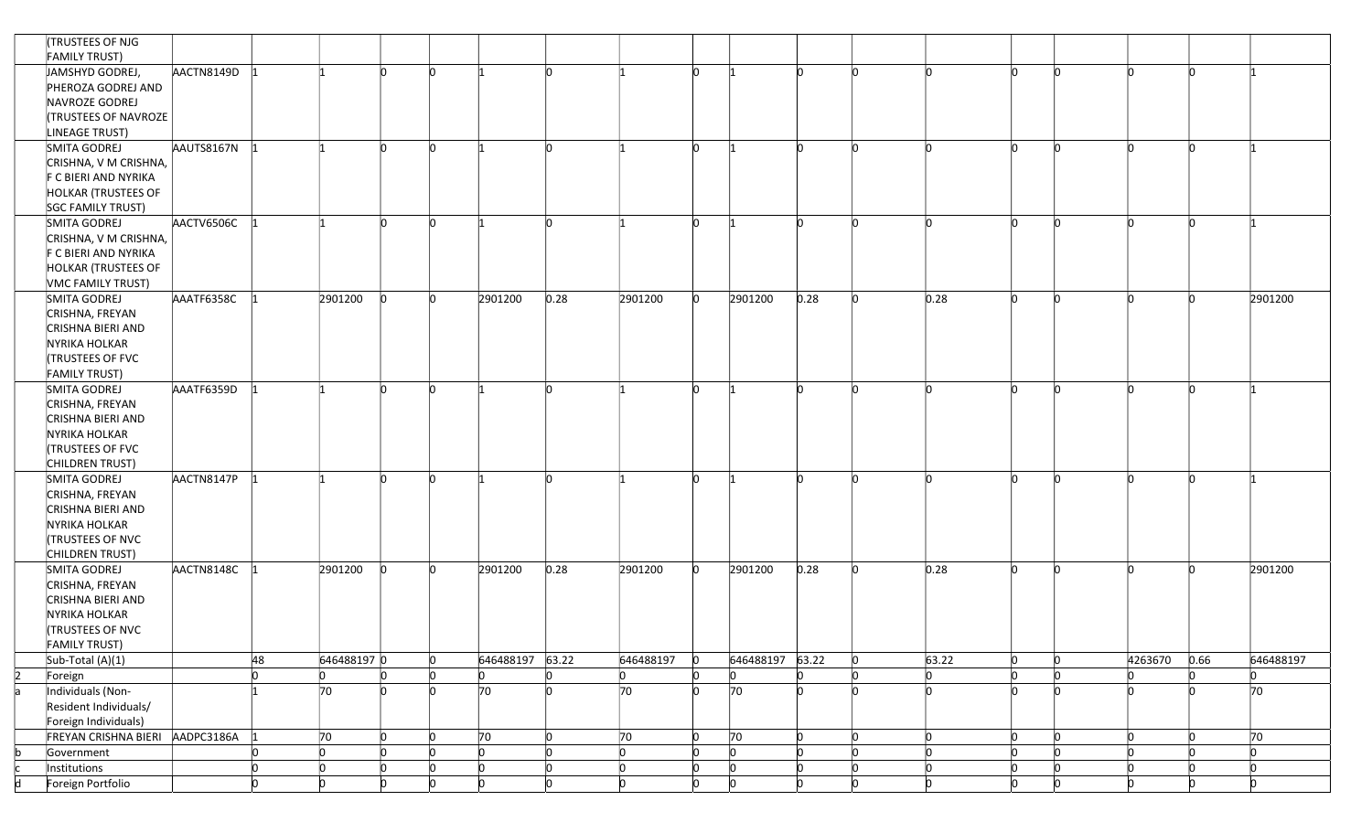|    | TRUSTEES OF NJG                 |            |    |              |              |            |                 |                           |                |                           |                           |          |          |              |           |    |         |      |           |
|----|---------------------------------|------------|----|--------------|--------------|------------|-----------------|---------------------------|----------------|---------------------------|---------------------------|----------|----------|--------------|-----------|----|---------|------|-----------|
|    | <b>FAMILY TRUST)</b>            |            |    |              |              |            |                 |                           |                |                           |                           |          |          |              |           |    |         |      |           |
|    | JAMSHYD GODREJ,                 | AACTN8149D |    |              | In.          | 'n         |                 | $\mathsf{D}$              |                | $\Omega$                  |                           | In.      | <b>n</b> | In.          | <b>n</b>  | 'n | n.      |      |           |
|    | PHEROZA GODREJ AND              |            |    |              |              |            |                 |                           |                |                           |                           |          |          |              |           |    |         |      |           |
|    | NAVROZE GODREJ                  |            |    |              |              |            |                 |                           |                |                           |                           |          |          |              |           |    |         |      |           |
|    | <b>(TRUSTEES OF NAVROZE</b>     |            |    |              |              |            |                 |                           |                |                           |                           |          |          |              |           |    |         |      |           |
|    | LINEAGE TRUST)                  |            |    |              |              |            |                 |                           |                |                           |                           |          |          |              |           |    |         |      |           |
|    | SMITA GODREJ                    | AAUTS8167N |    |              | <b>n</b>     |            |                 | 'n                        |                | lo.                       |                           |          |          | n            | <b>n</b>  |    |         |      |           |
|    | CRISHNA, V M CRISHNA,           |            |    |              |              |            |                 |                           |                |                           |                           |          |          |              |           |    |         |      |           |
|    | F C BIERI AND NYRIKA            |            |    |              |              |            |                 |                           |                |                           |                           |          |          |              |           |    |         |      |           |
|    | HOLKAR (TRUSTEES OF             |            |    |              |              |            |                 |                           |                |                           |                           |          |          |              |           |    |         |      |           |
|    | SGC FAMILY TRUST)               |            |    |              |              |            |                 |                           |                |                           |                           |          |          |              |           |    |         |      |           |
|    | SMITA GODREJ                    | AACTV6506C |    |              | <b>n</b>     | $\sqrt{ }$ |                 | <b>n</b>                  |                | $\Omega$                  |                           | <b>n</b> |          | In.          | <b>n</b>  | 'n |         |      |           |
|    | CRISHNA, V M CRISHNA,           |            |    |              |              |            |                 |                           |                |                           |                           |          |          |              |           |    |         |      |           |
|    | F C BIERI AND NYRIKA            |            |    |              |              |            |                 |                           |                |                           |                           |          |          |              |           |    |         |      |           |
|    | <b>HOLKAR (TRUSTEES OF</b>      |            |    |              |              |            |                 |                           |                |                           |                           |          |          |              |           |    |         |      |           |
|    | VMC FAMILY TRUST)               |            |    |              |              |            |                 |                           |                |                           |                           |          |          |              |           |    |         |      |           |
|    |                                 |            |    |              | <b>n</b>     | 'n         |                 |                           |                | ln.                       | 2901200                   |          | n        | 0.28         | <b>In</b> |    |         |      |           |
|    | SMITA GODREJ                    | AAATF6358C |    | 2901200      |              |            | 2901200         | 0.28                      | 2901200        |                           |                           | 0.28     |          |              |           |    |         |      | 2901200   |
|    | CRISHNA, FREYAN                 |            |    |              |              |            |                 |                           |                |                           |                           |          |          |              |           |    |         |      |           |
|    | CRISHNA BIERI AND               |            |    |              |              |            |                 |                           |                |                           |                           |          |          |              |           |    |         |      |           |
|    | NYRIKA HOLKAR                   |            |    |              |              |            |                 |                           |                |                           |                           |          |          |              |           |    |         |      |           |
|    | TRUSTEES OF FVC                 |            |    |              |              |            |                 |                           |                |                           |                           |          |          |              |           |    |         |      |           |
|    | <b>FAMILY TRUST)</b>            |            |    |              |              |            |                 |                           |                |                           |                           |          |          |              |           |    |         |      |           |
|    | SMITA GODREJ                    | AAATF6359D |    |              | 'n           |            |                 | 'n                        |                | <b>n</b>                  |                           |          |          |              | n         |    |         |      |           |
|    | CRISHNA, FREYAN                 |            |    |              |              |            |                 |                           |                |                           |                           |          |          |              |           |    |         |      |           |
|    | CRISHNA BIERI AND               |            |    |              |              |            |                 |                           |                |                           |                           |          |          |              |           |    |         |      |           |
|    | NYRIKA HOLKAR                   |            |    |              |              |            |                 |                           |                |                           |                           |          |          |              |           |    |         |      |           |
|    | <b>TRUSTEES OF FVC</b>          |            |    |              |              |            |                 |                           |                |                           |                           |          |          |              |           |    |         |      |           |
|    | CHILDREN TRUST)                 |            |    |              |              |            |                 |                           |                |                           |                           |          |          |              |           |    |         |      |           |
|    | SMITA GODREJ                    | AACTN8147P |    |              | <b>n</b>     |            |                 | h                         |                | ln.                       |                           | 'n       |          | In.          | <b>n</b>  |    |         |      |           |
|    | CRISHNA, FREYAN                 |            |    |              |              |            |                 |                           |                |                           |                           |          |          |              |           |    |         |      |           |
|    | CRISHNA BIERI AND               |            |    |              |              |            |                 |                           |                |                           |                           |          |          |              |           |    |         |      |           |
|    | NYRIKA HOLKAR                   |            |    |              |              |            |                 |                           |                |                           |                           |          |          |              |           |    |         |      |           |
|    | TRUSTEES OF NVC                 |            |    |              |              |            |                 |                           |                |                           |                           |          |          |              |           |    |         |      |           |
|    | CHILDREN TRUST)                 |            |    |              |              |            |                 |                           |                |                           |                           |          |          |              |           |    |         |      |           |
|    | SMITA GODREJ                    | AACTN8148C |    | 2901200      |              |            | 2901200         | 0.28                      | 2901200        | lo.                       | 2901200                   | 0.28     |          | 0.28         | 'n        |    |         |      | 2901200   |
|    | CRISHNA, FREYAN                 |            |    |              |              |            |                 |                           |                |                           |                           |          |          |              |           |    |         |      |           |
|    | CRISHNA BIERI AND               |            |    |              |              |            |                 |                           |                |                           |                           |          |          |              |           |    |         |      |           |
|    | NYRIKA HOLKAR                   |            |    |              |              |            |                 |                           |                |                           |                           |          |          |              |           |    |         |      |           |
|    | <b>(TRUSTEES OF NVC</b>         |            |    |              |              |            |                 |                           |                |                           |                           |          |          |              |           |    |         |      |           |
|    | <b>FAMILY TRUST)</b>            |            |    |              |              |            |                 |                           |                |                           |                           |          |          |              |           |    |         |      |           |
|    | Sub-Total (A)(1)                |            | 48 | 646488197 0  |              |            | 646488197 63.22 |                           | 646488197      | $\overline{0}$            | 646488197 63.22           |          |          | 63.22        | 'n        |    | 4263670 | 0.66 | 646488197 |
| 2  | Foreign                         |            |    |              |              |            | ln.             | 'n                        | 10             | $\overline{0}$            | <b>n</b>                  | 'n       |          |              | 'n        |    |         |      | IO.       |
| a  | Individuals (Non-               |            |    | 70           |              | 'n         | 70              | h                         | 70             | <b>l</b> o                | 70                        |          |          |              | 'n        |    |         |      | 70        |
|    | Resident Individuals/           |            |    |              |              |            |                 |                           |                |                           |                           |          |          |              |           |    |         |      |           |
|    | Foreign Individuals)            |            |    |              |              |            |                 |                           |                |                           |                           |          |          |              |           |    |         |      |           |
|    | FREYAN CRISHNA BIERI AADPC3186A |            |    | 70           | $\Omega$     |            | 70              | $\mathsf{O}$              | 70             | $\mathsf{I}^{\mathsf{O}}$ | 70                        | <b>n</b> | <b>n</b> | $\mathsf{D}$ | <b>n</b>  | 'n | n.      | n    | 70        |
|    | Government                      |            |    | $\mathsf{D}$ | $\mathsf{D}$ |            | $\mathsf{D}$    | $\mathsf{I}^{\mathsf{O}}$ | $\overline{0}$ | O                         | $\mathsf{I}_{\mathsf{O}}$ | n.       |          | $\Omega$     | <b>n</b>  |    |         |      | lo.       |
| c. | Institutions                    |            |    | IO.          | ln.          |            | ln.             | $\overline{0}$            | $\overline{0}$ | $\overline{0}$            | $\mathsf{I}^{\mathsf{O}}$ | In.      | n        | $\Omega$     | <b>n</b>  |    | n       | n    | lo.       |
| d  | Foreign Portfolio               |            |    |              |              |            |                 |                           | 'n             |                           |                           |          |          |              |           |    |         |      |           |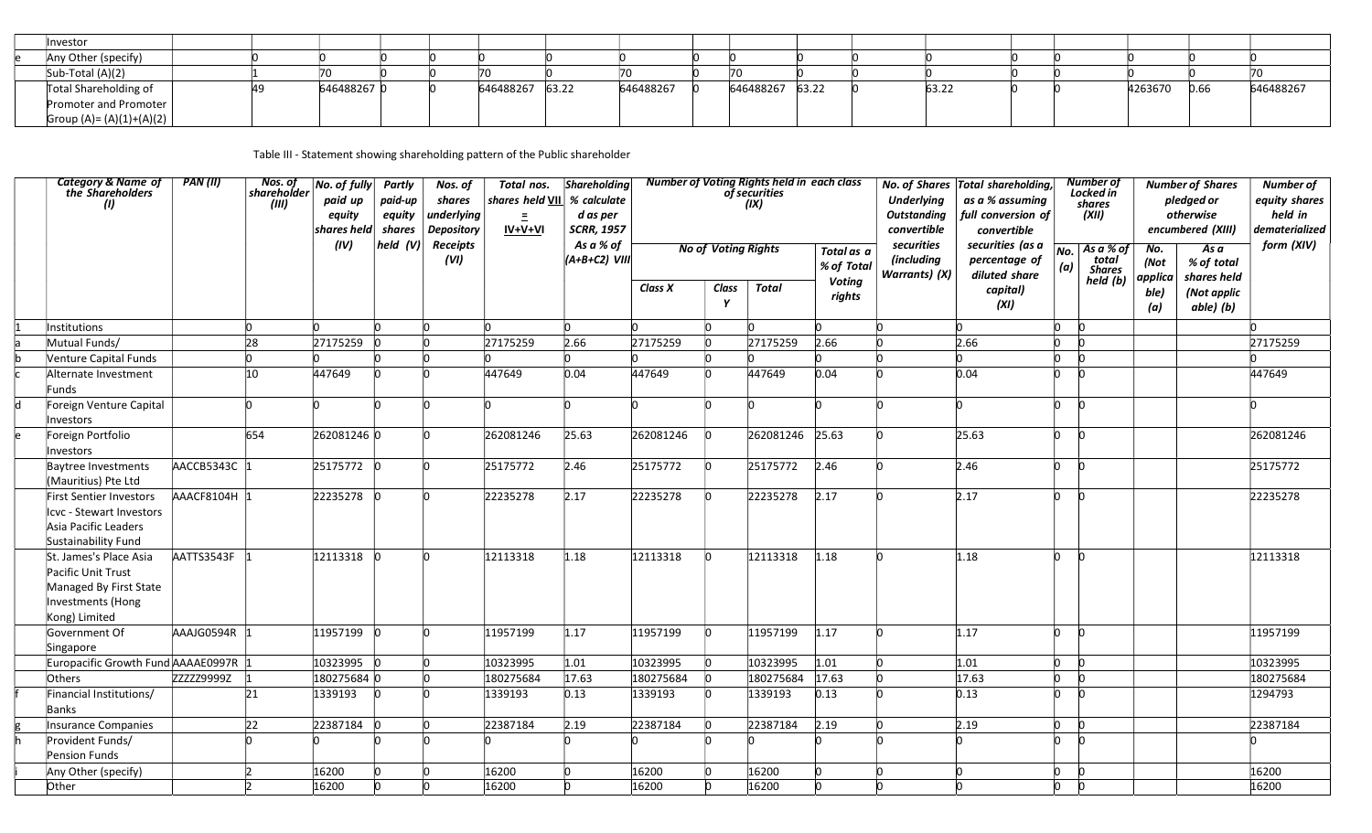| Investor                   |            |  |                 |           |                 |  |       |  |         |      |           |
|----------------------------|------------|--|-----------------|-----------|-----------------|--|-------|--|---------|------|-----------|
| Any Other (specify)        |            |  |                 |           |                 |  |       |  |         |      |           |
| Sub-Total (A)(2)           |            |  |                 |           |                 |  |       |  |         |      |           |
| Total Shareholding of      | 6464882670 |  | 646488267 63.22 | 646488267 | 646488267 63.22 |  | 63.22 |  | 4263670 | 0.66 | 646488267 |
| Promoter and Promoter      |            |  |                 |           |                 |  |       |  |         |      |           |
| Group (A)= $(A)(1)+(A)(2)$ |            |  |                 |           |                 |  |       |  |         |      |           |

Table III - Statement showing shareholding pattern of the Public shareholder

|                                                                                                              |              |     | equity<br>shares held | paid-up<br>equity<br>shares | shares<br>underlying<br><b>Depository</b> | $=$<br>$IV+V+VI$ | shares held VII % calculate<br>d as per<br><b>SCRR, 1957</b> |           |                            | of securities<br>(IX) |                          | <b>Underlying</b><br><b>Outstanding</b><br>convertible | as a % assuming<br>full conversion of<br>convertible |            | Locked in<br>shares<br>(XII)        |                        | pledged or<br>otherwise<br>encumbered (XIII) | equity shares<br>held in<br>dematerialized |
|--------------------------------------------------------------------------------------------------------------|--------------|-----|-----------------------|-----------------------------|-------------------------------------------|------------------|--------------------------------------------------------------|-----------|----------------------------|-----------------------|--------------------------|--------------------------------------------------------|------------------------------------------------------|------------|-------------------------------------|------------------------|----------------------------------------------|--------------------------------------------|
|                                                                                                              |              |     | (IV)                  | held (V)                    | <b>Receipts</b><br>(VI)                   |                  | As a % of<br>$(A+B+C2)$ VIII                                 |           | <b>No of Voting Rights</b> |                       | Total as a<br>% of Total | securities<br>(including<br><b>Warrants</b> ) (X)      | securities (as a<br>percentage of<br>diluted share   | No.<br>(a) | As a % of<br>total<br><b>Shares</b> | No.<br>(Not            | Asa<br>% of total                            | form (XIV)                                 |
|                                                                                                              |              |     |                       |                             |                                           |                  |                                                              | Class X   | Class<br>Y                 | Total                 | <b>Voting</b><br>rights  |                                                        | capital)<br>(XI)                                     |            | held (b)                            | applica<br>ble)<br>(a) | shares held<br>(Not applic<br>able) (b)      |                                            |
| Institutions                                                                                                 |              | 'n  | In.                   | <b>n</b>                    | <b>n</b>                                  | In.              |                                                              |           | ln.                        |                       | 'n                       |                                                        |                                                      | n          | -In                                 |                        |                                              |                                            |
| Mutual Funds/                                                                                                |              | 28  | 27175259              | -lo                         |                                           | 27175259         | 2.66                                                         | 27175259  | <b>n</b>                   | 27175259              | 2.66                     |                                                        | 2.66                                                 | h          | <b>n</b>                            |                        |                                              | 27175259                                   |
| Venture Capital Funds                                                                                        |              | ln. |                       |                             |                                           |                  |                                                              |           | n                          |                       |                          |                                                        |                                                      | n.         | In                                  |                        |                                              |                                            |
| Alternate Investment<br>Funds                                                                                |              | 10  | 447649                |                             |                                           | 447649           | 0.04                                                         | 447649    | 'n                         | 447649                | 0.04                     |                                                        | 0.04                                                 | n          |                                     |                        |                                              | 447649                                     |
| Foreign Venture Capital<br>Investors                                                                         |              | h   |                       | In                          |                                           |                  |                                                              |           |                            |                       |                          |                                                        |                                                      | h.         | -In                                 |                        |                                              |                                            |
| Foreign Portfolio<br>Investors                                                                               |              | 654 | 262081246 0           |                             |                                           | 262081246        | 25.63                                                        | 262081246 | <b>l</b>                   | 262081246             | 25.63                    |                                                        | 25.63                                                | h.         | <b>n</b>                            |                        |                                              | 262081246                                  |
| Baytree Investments<br>(Mauritius) Pte Ltd                                                                   | AACCB5343C 1 |     | 25175772 0            |                             |                                           | 25175772         | 2.46                                                         | 25175772  | <b>n</b>                   | 25175772              | 2.46                     |                                                        | 2.46                                                 | n.         | <b>n</b>                            |                        |                                              | 25175772                                   |
| First Sentier Investors<br>Icvc - Stewart Investors<br>Asia Pacific Leaders<br>Sustainability Fund           | AAACF8104H 1 |     | 22235278 0            |                             |                                           | 22235278         | 2.17                                                         | 22235278  | l0                         | 22235278              | 2.17                     |                                                        | 2.17                                                 | n.         |                                     |                        |                                              | 22235278                                   |
| St. James's Place Asia<br>Pacific Unit Trust<br>Managed By First State<br>Investments (Hong<br>Kong) Limited | AATTS3543F   |     | 12113318 0            |                             |                                           | 12113318         | 1.18                                                         | 12113318  | 'n                         | 12113318              | 1.18                     |                                                        | 1.18                                                 | h          | <b>n</b>                            |                        |                                              | 12113318                                   |
| Government Of<br>Singapore                                                                                   | AAAJG0594R 1 |     | 11957199 0            |                             |                                           | 11957199         | 1.17                                                         | 11957199  | 'n                         | 11957199              | 1.17                     |                                                        | 1.17                                                 | n.         | -In                                 |                        |                                              | 11957199                                   |
| Europacific Growth Fund AAAAE0997R                                                                           |              |     | 10323995 0            |                             | <b>n</b>                                  | 10323995         | 1.01                                                         | 10323995  | 'n                         | 10323995              | 1.01                     |                                                        | 1.01                                                 | h          |                                     |                        |                                              | 10323995                                   |
| Others                                                                                                       | ZZZZZ9999Z   |     | 180275684 0           |                             | <b>n</b>                                  | 180275684        | 17.63                                                        | 180275684 | <b>n</b>                   | 180275684             | 17.63                    |                                                        | 17.63                                                | n.         |                                     |                        |                                              | 180275684                                  |
| Financial Institutions/<br>Banks                                                                             |              | 21  | 1339193               | n                           |                                           | 1339193          | 0.13                                                         | 1339193   | <b>n</b>                   | 1339193               | 0.13                     |                                                        | 0.13                                                 | n          | In                                  |                        |                                              | 1294793                                    |
| Insurance Companies                                                                                          |              | 22  | 22387184 0            |                             |                                           | 22387184         | 2.19                                                         | 22387184  | 'n                         | 22387184              | 2.19                     |                                                        | 2.19                                                 | n.         | h                                   |                        |                                              | 22387184                                   |
| Provident Funds/<br>Pension Funds                                                                            |              |     |                       |                             |                                           |                  |                                                              |           |                            |                       |                          |                                                        |                                                      |            |                                     |                        |                                              |                                            |
| Any Other (specify)                                                                                          |              |     | 16200                 |                             |                                           | 16200            |                                                              | 16200     |                            | 16200                 |                          |                                                        |                                                      | h.         |                                     |                        |                                              | 16200                                      |
| Other                                                                                                        |              |     | 16200                 |                             |                                           | 16200            |                                                              | 16200     |                            | 16200                 |                          |                                                        |                                                      |            |                                     |                        |                                              | 16200                                      |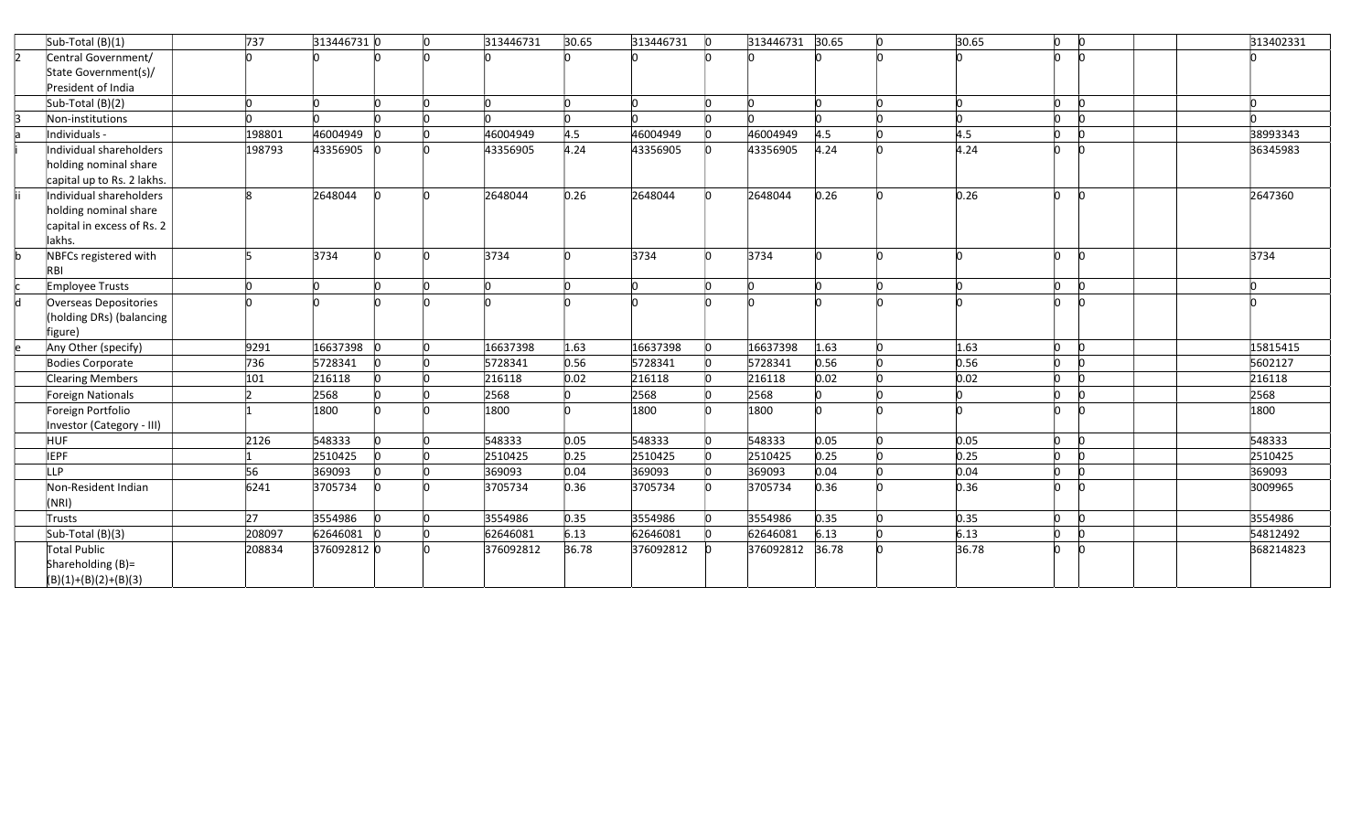|     | Sub-Total (B)(1)           | 737    | 313446731 0 |           | In | 313446731 | 30.65 | 313446731 | 10 | 313446731 30.65 |       | 'n | 30.65 | $\Omega$     | $\mathsf{I}^{\mathsf{O}}$ | 313402331 |
|-----|----------------------------|--------|-------------|-----------|----|-----------|-------|-----------|----|-----------------|-------|----|-------|--------------|---------------------------|-----------|
|     | Central Government/        |        |             |           |    |           |       |           |    |                 |       |    |       |              |                           |           |
|     | State Government(s)/       |        |             |           |    |           |       |           |    |                 |       |    |       |              |                           |           |
|     | President of India         |        |             |           |    |           |       |           |    |                 |       |    |       |              |                           |           |
|     | Sub-Total (B)(2)           |        |             | <b>In</b> | h  |           |       | In.       |    |                 |       |    |       | $\mathsf{D}$ | <b>l</b> o                | n.        |
|     | Non-institutions           |        |             |           |    |           |       |           |    |                 |       |    |       | h            | <b>n</b>                  |           |
|     | Individuals -              | 198801 | 46004949    |           |    | 46004949  | 4.5   | 46004949  |    | 46004949        | 4.5   |    | 4.5   | n            | <b>n</b>                  | 38993343  |
|     | Individual shareholders    | 198793 | 43356905    |           |    | 43356905  | 4.24  | 43356905  |    | 43356905        | 4.24  |    | 4.24  | h            | h                         | 36345983  |
|     | holding nominal share      |        |             |           |    |           |       |           |    |                 |       |    |       |              |                           |           |
|     | capital up to Rs. 2 lakhs. |        |             |           |    |           |       |           |    |                 |       |    |       |              |                           |           |
|     | Individual shareholders    |        | 2648044     |           |    | 2648044   | 0.26  | 2648044   |    | 2648044         | 0.26  |    | 0.26  | <b>n</b>     | $\mathsf{I}^{\mathsf{O}}$ | 2647360   |
|     | holding nominal share      |        |             |           |    |           |       |           |    |                 |       |    |       |              |                           |           |
|     | capital in excess of Rs. 2 |        |             |           |    |           |       |           |    |                 |       |    |       |              |                           |           |
|     | lakhs.                     |        |             |           |    |           |       |           |    |                 |       |    |       |              |                           |           |
|     | NBFCs registered with      |        | 3734        |           |    | 3734      |       | 3734      |    | 3734            |       |    |       | 'n           | <b>l</b> o                | 3734      |
|     | RB                         |        |             |           |    |           |       |           |    |                 |       |    |       |              |                           |           |
|     | Employee Trusts            |        |             |           |    |           |       |           |    |                 |       |    |       | 'n           | $\Omega$                  |           |
| ld. | Overseas Depositories      |        |             |           |    |           |       |           |    |                 |       |    |       | n            | <b>n</b>                  |           |
|     | (holding DRs) (balancing   |        |             |           |    |           |       |           |    |                 |       |    |       |              |                           |           |
|     | figure)                    |        |             |           |    |           |       |           |    |                 |       |    |       |              |                           |           |
|     | Any Other (specify)        | 9291   | 16637398    |           | 'n | 16637398  | 1.63  | 16637398  |    | 16637398        | 1.63  |    | 1.63  | n            | h                         | 15815415  |
|     | Bodies Corporate           | 736    | 5728341     | <b>In</b> |    | 5728341   | 0.56  | 5728341   |    | 5728341         | 0.56  |    | 0.56  | h            | <b>n</b>                  | 5602127   |
|     | <b>Clearing Members</b>    | 101    | 216118      |           |    | 216118    | 0.02  | 216118    |    | 216118          | 0.02  |    | 0.02  |              | n                         | 216118    |
|     | Foreign Nationals          |        | 2568        |           |    | 2568      |       | 2568      |    | 2568            |       |    |       | h            | lo.                       | 2568      |
|     | Foreign Portfolio          |        | 1800        |           |    | 1800      |       | 1800      |    | 1800            |       |    |       | 'n           | <b>I</b>                  | 1800      |
|     | Investor (Category - III)  |        |             |           |    |           |       |           |    |                 |       |    |       |              |                           |           |
|     | <b>HUF</b>                 | 2126   | 548333      |           |    | 548333    | 0.05  | 548333    |    | 548333          | 0.05  |    | 0.05  | <b>n</b>     | <b>n</b>                  | 548333    |
|     | <b>IEPF</b>                |        | 2510425     |           |    | 2510425   | 0.25  | 2510425   |    | 2510425         | 0.25  |    | 0.25  |              | <b>n</b>                  | 2510425   |
|     | LLP                        | 56     | 369093      |           |    | 369093    | 0.04  | 369093    |    | 369093          | 0.04  |    | 0.04  | n            | $\mathsf{D}$              | 369093    |
|     | Non-Resident Indian        | 6241   | 3705734     |           |    | 3705734   | 0.36  | 3705734   |    | 3705734         | 0.36  |    | 0.36  | h            | 'n                        | 3009965   |
|     | (NRI)                      |        |             |           |    |           |       |           |    |                 |       |    |       |              |                           |           |
|     | Trusts                     | 27     | 3554986     |           |    | 3554986   | 0.35  | 3554986   |    | 3554986         | 0.35  |    | 0.35  | h            | <b>n</b>                  | 3554986   |
|     | $Sub-Total (B)(3)$         | 208097 | 62646081    |           |    | 62646081  | 6.13  | 62646081  |    | 62646081        | 6.13  |    | 6.13  |              | 'n                        | 54812492  |
|     | <b>Total Public</b>        | 208834 | 376092812 0 |           |    | 376092812 | 36.78 | 376092812 |    | 376092812       | 36.78 |    | 36.78 |              |                           | 368214823 |
|     | Shareholding (B)=          |        |             |           |    |           |       |           |    |                 |       |    |       |              |                           |           |
|     | $(B)(1)+(B)(2)+(B)(3)$     |        |             |           |    |           |       |           |    |                 |       |    |       |              |                           |           |